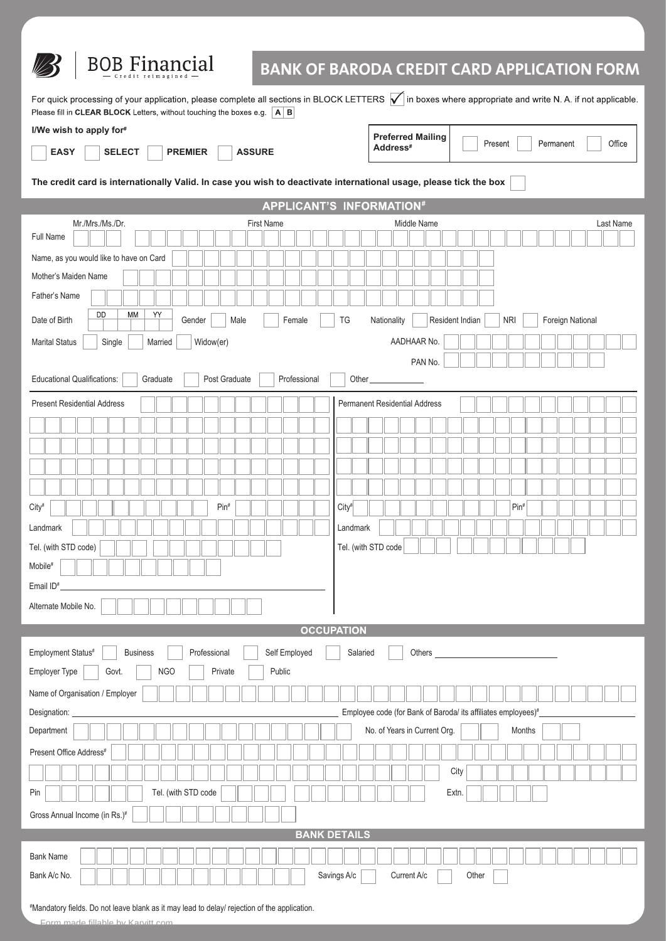

Landmark

Mobile# Email ID#

Tel. (with STD code)

Alternate Mobile No.

## **BOB Financial**

## **BANK OF BARODA CREDIT CARD APPLICATION FORM**

For quick processing of your application, please complete all sections in BLOCK LETTERS  $\bigtriangledown$  in boxes where appropriate and write N. A. if not applicable. Please fill in CLEAR BLOCK Letters, without touching the boxes e.g. A B **I/We wish to apply for# Preferred Mailing** Present Permanent Office **Address# EASY SELECT PREMIER ASSURE The credit card is internationally Valid. In case you wish to deactivate international usage, please tick the box APPLICANT'S INFORMATION#** Mr./Mrs./Ms./Dr. First Name Middle Name Last Name Full Name Name, as you would like to have on Card Mother's Maiden Name Father's Name **DD MM** Y) Date of Birth Gender Male | Female | TG Nationality | Resident Indian | NRI | Foreign National Marital Status Single | Married Widow(er) AADHAAR No. PAN No. Educational Qualifications: Graduate Post Graduate Professional Other Present Residential Address **Permanent Residential Address** 

| <b>OCCUPATION</b> |  |          |  |  |  |  |  |
|-------------------|--|----------|--|--|--|--|--|
| ved               |  | Salariec |  |  |  |  |  |

Landmark

Tel. (with STD code

City# Pin# City# Pin#

| Self Employed<br>Employment Status#<br><b>Business</b><br>Professional<br>Salaried<br>Others |  |  |  |  |  |  |
|----------------------------------------------------------------------------------------------|--|--|--|--|--|--|
| Employer Type<br><b>NGO</b><br>Private<br>Public<br>Govt.                                    |  |  |  |  |  |  |
| Name of Organisation / Employer                                                              |  |  |  |  |  |  |
| Designation:<br>Employee code (for Bank of Baroda/ its affiliates employees)#_               |  |  |  |  |  |  |
| Department<br>No. of Years in Current Org.<br>Months                                         |  |  |  |  |  |  |
| Present Office Address <sup>#</sup>                                                          |  |  |  |  |  |  |
| City                                                                                         |  |  |  |  |  |  |
| Tel. (with STD code<br>Pin<br>Extn.                                                          |  |  |  |  |  |  |
| Gross Annual Income (in Rs.)#                                                                |  |  |  |  |  |  |
| <b>BANK DETAILS</b>                                                                          |  |  |  |  |  |  |
| <b>Bank Name</b>                                                                             |  |  |  |  |  |  |
| Savings A/c<br>Bank A/c No.<br>Current A/c<br>Other                                          |  |  |  |  |  |  |

# Mandatory fields. Do not leave blank as it may lead to delay/ rejection of the application.